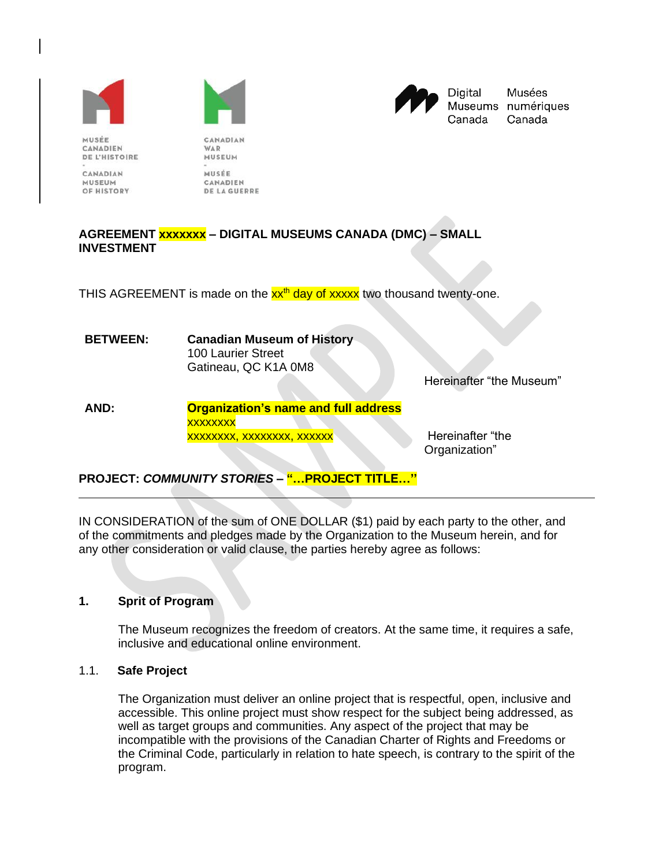





Digital Musées Museums numériques Canada Canada

MUSEE CANADIEN **DE L'HISTOIRE** 

CANADIAN MUSEUM OF HISTORY

MUSEUM MUSÉE CANADIEN **DE LA GUERRE** 

CANADIAN

WAR

## **AGREEMENT xxxxxxx – DIGITAL MUSEUMS CANADA (DMC) – SMALL INVESTMENT**

THIS AGREEMENT is made on the  $xx<sup>th</sup>$  day of xxxx two thousand twenty-one.

| <b>BETWEEN:</b> | <b>Canadian Museum of History</b><br><b>100 Laurier Street</b>            |                          |
|-----------------|---------------------------------------------------------------------------|--------------------------|
|                 | Gatineau, QC K1A 0M8                                                      | Hereinafter "the Museum" |
| AND:            | <b>Organization's name and full address</b><br><b>\/\/\/\/\/\/\/\/\/\</b> |                          |

xxxxxxxx xxxxxxxx, xxxxxxx, xxxxxx has a Hereinafter "the

Organization"

**PROJECT:** *COMMUNITY STORIES* **– "…PROJECT TITLE…''**

IN CONSIDERATION of the sum of ONE DOLLAR (\$1) paid by each party to the other, and of the commitments and pledges made by the Organization to the Museum herein, and for any other consideration or valid clause, the parties hereby agree as follows:

# **1. Sprit of Program**

The Museum recognizes the freedom of creators. At the same time, it requires a safe, inclusive and educational online environment.

# 1.1. **Safe Project**

The Organization must deliver an online project that is respectful, open, inclusive and accessible. This online project must show respect for the subject being addressed, as well as target groups and communities. Any aspect of the project that may be incompatible with the provisions of the Canadian Charter of Rights and Freedoms or the Criminal Code, particularly in relation to hate speech, is contrary to the spirit of the program.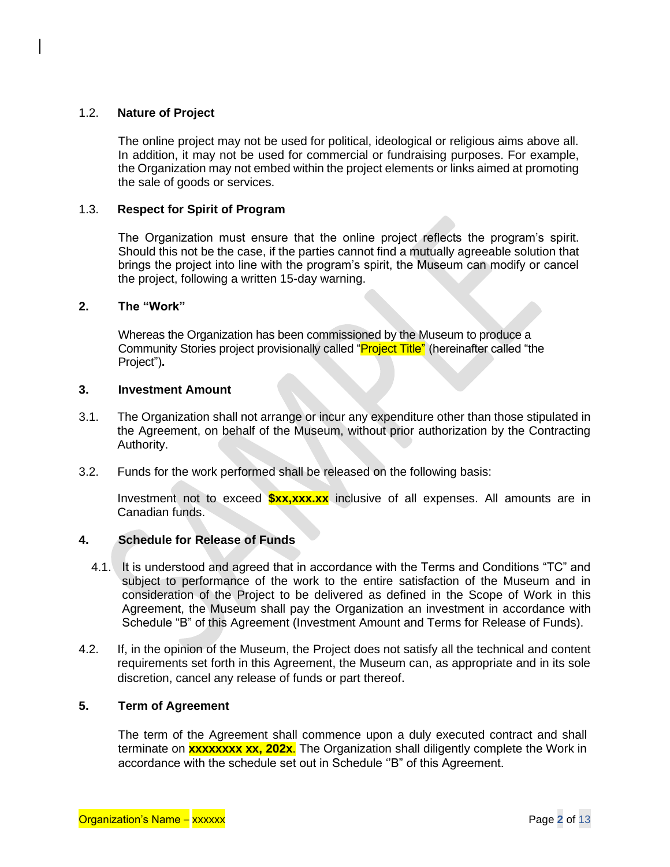### 1.2. **Nature of Project**

The online project may not be used for political, ideological or religious aims above all. In addition, it may not be used for commercial or fundraising purposes. For example, the Organization may not embed within the project elements or links aimed at promoting the sale of goods or services.

### 1.3. **Respect for Spirit of Program**

The Organization must ensure that the online project reflects the program's spirit. Should this not be the case, if the parties cannot find a mutually agreeable solution that brings the project into line with the program's spirit, the Museum can modify or cancel the project, following a written 15-day warning.

### **2. The "Work"**

Whereas the Organization has been commissioned by the Museum to produce a Community Stories project provisionally called "**Project Title"** (hereinafter called "the Project")**.**

### **3. Investment Amount**

- 3.1. The Organization shall not arrange or incur any expenditure other than those stipulated in the Agreement, on behalf of the Museum, without prior authorization by the Contracting Authority.
- 3.2. Funds for the work performed shall be released on the following basis:

Investment not to exceed **\$xx,xxx.xx** inclusive of all expenses. All amounts are in Canadian funds.

### **4. Schedule for Release of Funds**

- 4.1. It is understood and agreed that in accordance with the Terms and Conditions "TC" and subject to performance of the work to the entire satisfaction of the Museum and in consideration of the Project to be delivered as defined in the Scope of Work in this Agreement, the Museum shall pay the Organization an investment in accordance with Schedule "B" of this Agreement (Investment Amount and Terms for Release of Funds).
- 4.2. If, in the opinion of the Museum, the Project does not satisfy all the technical and content requirements set forth in this Agreement, the Museum can, as appropriate and in its sole discretion, cancel any release of funds or part thereof.

### **5. Term of Agreement**

The term of the Agreement shall commence upon a duly executed contract and shall terminate on **xxxxxxxx xx, 202x**. The Organization shall diligently complete the Work in accordance with the schedule set out in Schedule ''B" of this Agreement.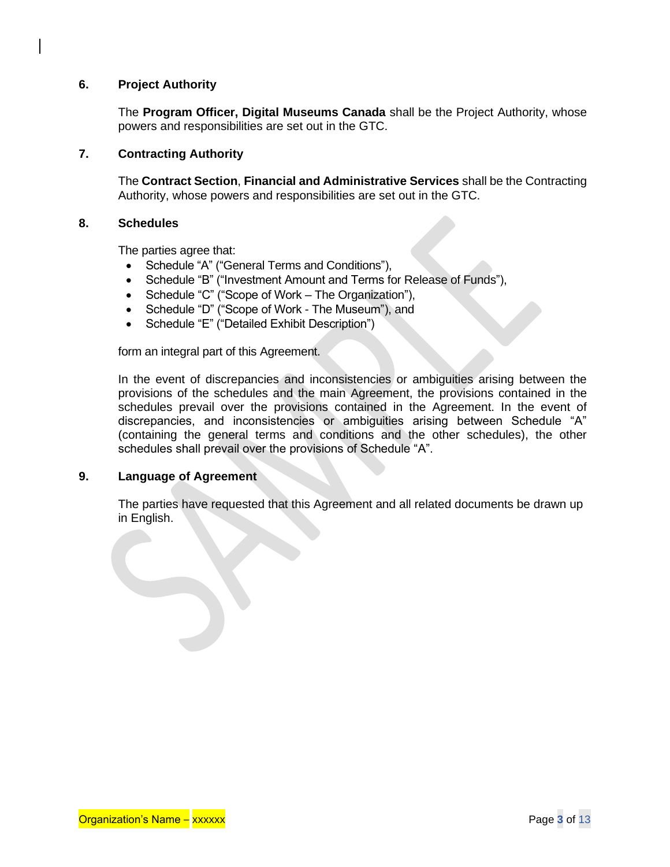## **6. Project Authority**

The **Program Officer, Digital Museums Canada** shall be the Project Authority, whose powers and responsibilities are set out in the GTC.

## **7. Contracting Authority**

The **Contract Section**, **Financial and Administrative Services** shall be the Contracting Authority, whose powers and responsibilities are set out in the GTC.

### **8. Schedules**

The parties agree that:

- Schedule "A" ("General Terms and Conditions"),
- Schedule "B" ("Investment Amount and Terms for Release of Funds"),
- Schedule "C" ("Scope of Work The Organization"),
- Schedule "D" ("Scope of Work The Museum"), and
- Schedule "E" ("Detailed Exhibit Description")

form an integral part of this Agreement.

In the event of discrepancies and inconsistencies or ambiguities arising between the provisions of the schedules and the main Agreement, the provisions contained in the schedules prevail over the provisions contained in the Agreement. In the event of discrepancies, and inconsistencies or ambiguities arising between Schedule "A" (containing the general terms and conditions and the other schedules), the other schedules shall prevail over the provisions of Schedule "A".

### **9. Language of Agreement**

The parties have requested that this Agreement and all related documents be drawn up in English.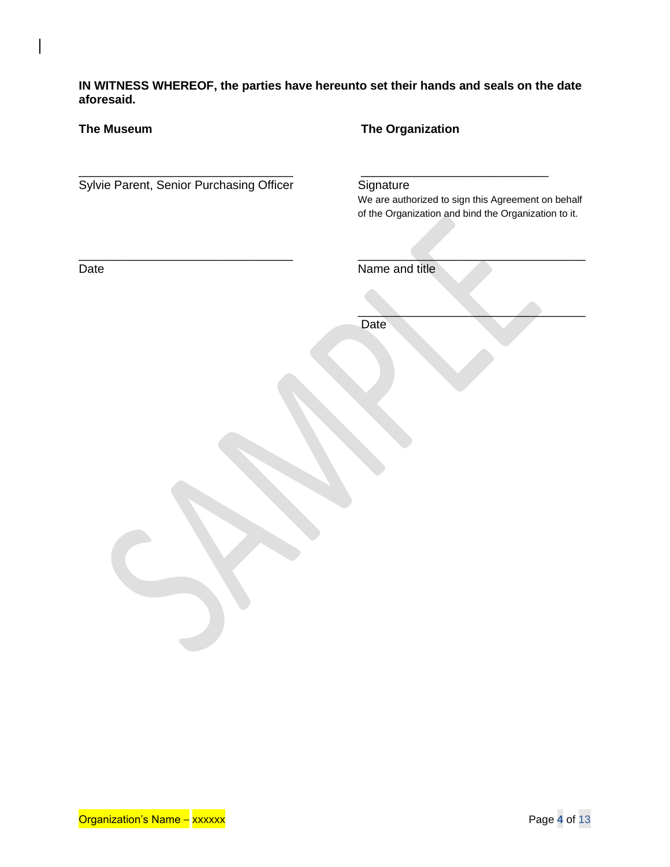**IN WITNESS WHEREOF, the parties have hereunto set their hands and seals on the date aforesaid.**

| <b>The Museum</b>                        | <b>The Organization</b>                                                                                                 |
|------------------------------------------|-------------------------------------------------------------------------------------------------------------------------|
| Sylvie Parent, Senior Purchasing Officer | Signature<br>We are authorized to sign this Agreement on behalf<br>of the Organization and bind the Organization to it. |
| Date                                     | Name and title                                                                                                          |
|                                          | Date                                                                                                                    |
|                                          |                                                                                                                         |
|                                          |                                                                                                                         |
|                                          |                                                                                                                         |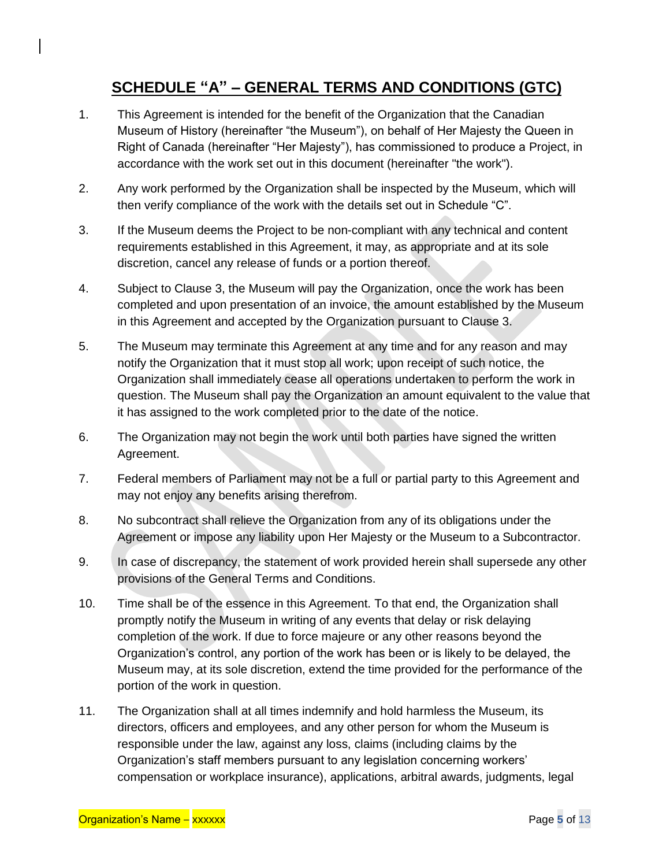# **SCHEDULE "A" – GENERAL TERMS AND CONDITIONS (GTC)**

- 1. This Agreement is intended for the benefit of the Organization that the Canadian Museum of History (hereinafter "the Museum"), on behalf of Her Majesty the Queen in Right of Canada (hereinafter "Her Majesty"), has commissioned to produce a Project, in accordance with the work set out in this document (hereinafter "the work").
- 2. Any work performed by the Organization shall be inspected by the Museum, which will then verify compliance of the work with the details set out in Schedule "C".
- 3. If the Museum deems the Project to be non-compliant with any technical and content requirements established in this Agreement, it may, as appropriate and at its sole discretion, cancel any release of funds or a portion thereof.
- 4. Subject to Clause 3, the Museum will pay the Organization, once the work has been completed and upon presentation of an invoice, the amount established by the Museum in this Agreement and accepted by the Organization pursuant to Clause 3.
- 5. The Museum may terminate this Agreement at any time and for any reason and may notify the Organization that it must stop all work; upon receipt of such notice, the Organization shall immediately cease all operations undertaken to perform the work in question. The Museum shall pay the Organization an amount equivalent to the value that it has assigned to the work completed prior to the date of the notice.
- 6. The Organization may not begin the work until both parties have signed the written Agreement.
- 7. Federal members of Parliament may not be a full or partial party to this Agreement and may not enjoy any benefits arising therefrom.
- 8. No subcontract shall relieve the Organization from any of its obligations under the Agreement or impose any liability upon Her Majesty or the Museum to a Subcontractor.
- 9. In case of discrepancy, the statement of work provided herein shall supersede any other provisions of the General Terms and Conditions.
- 10. Time shall be of the essence in this Agreement. To that end, the Organization shall promptly notify the Museum in writing of any events that delay or risk delaying completion of the work. If due to force majeure or any other reasons beyond the Organization's control, any portion of the work has been or is likely to be delayed, the Museum may, at its sole discretion, extend the time provided for the performance of the portion of the work in question.
- 11. The Organization shall at all times indemnify and hold harmless the Museum, its directors, officers and employees, and any other person for whom the Museum is responsible under the law, against any loss, claims (including claims by the Organization's staff members pursuant to any legislation concerning workers' compensation or workplace insurance), applications, arbitral awards, judgments, legal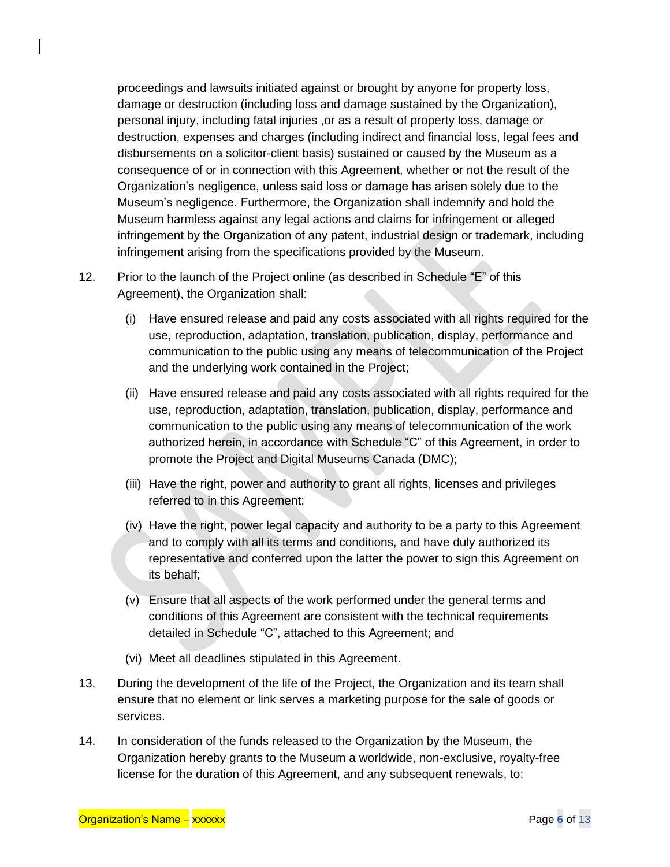proceedings and lawsuits initiated against or brought by anyone for property loss, damage or destruction (including loss and damage sustained by the Organization), personal injury, including fatal injuries ,or as a result of property loss, damage or destruction, expenses and charges (including indirect and financial loss, legal fees and disbursements on a solicitor-client basis) sustained or caused by the Museum as a consequence of or in connection with this Agreement, whether or not the result of the Organization's negligence, unless said loss or damage has arisen solely due to the Museum's negligence. Furthermore, the Organization shall indemnify and hold the Museum harmless against any legal actions and claims for infringement or alleged infringement by the Organization of any patent, industrial design or trademark, including infringement arising from the specifications provided by the Museum.

- 12. Prior to the launch of the Project online (as described in Schedule "E" of this Agreement), the Organization shall:
	- (i) Have ensured release and paid any costs associated with all rights required for the use, reproduction, adaptation, translation, publication, display, performance and communication to the public using any means of telecommunication of the Project and the underlying work contained in the Project;
	- (ii) Have ensured release and paid any costs associated with all rights required for the use, reproduction, adaptation, translation, publication, display, performance and communication to the public using any means of telecommunication of the work authorized herein, in accordance with Schedule "C" of this Agreement, in order to promote the Project and Digital Museums Canada (DMC);
	- (iii) Have the right, power and authority to grant all rights, licenses and privileges referred to in this Agreement;
	- (iv) Have the right, power legal capacity and authority to be a party to this Agreement and to comply with all its terms and conditions, and have duly authorized its representative and conferred upon the latter the power to sign this Agreement on its behalf;
	- (v) Ensure that all aspects of the work performed under the general terms and conditions of this Agreement are consistent with the technical requirements detailed in Schedule "C", attached to this Agreement; and
	- (vi) Meet all deadlines stipulated in this Agreement.
- 13. During the development of the life of the Project, the Organization and its team shall ensure that no element or link serves a marketing purpose for the sale of goods or services.
- 14. In consideration of the funds released to the Organization by the Museum, the Organization hereby grants to the Museum a worldwide, non-exclusive, royalty-free license for the duration of this Agreement, and any subsequent renewals, to: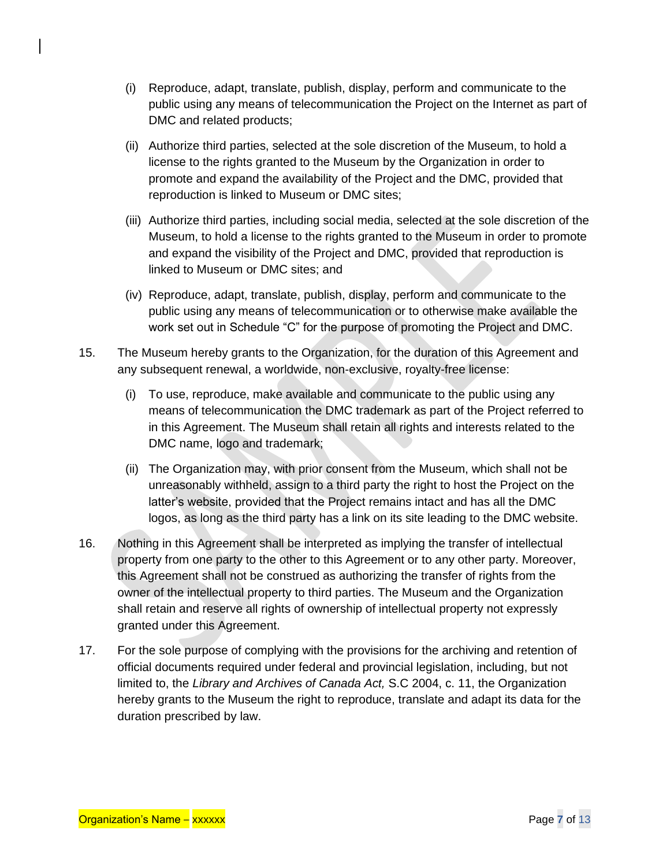- (i) Reproduce, adapt, translate, publish, display, perform and communicate to the public using any means of telecommunication the Project on the Internet as part of DMC and related products;
- (ii) Authorize third parties, selected at the sole discretion of the Museum, to hold a license to the rights granted to the Museum by the Organization in order to promote and expand the availability of the Project and the DMC, provided that reproduction is linked to Museum or DMC sites;
- (iii) Authorize third parties, including social media, selected at the sole discretion of the Museum, to hold a license to the rights granted to the Museum in order to promote and expand the visibility of the Project and DMC, provided that reproduction is linked to Museum or DMC sites; and
- (iv) Reproduce, adapt, translate, publish, display, perform and communicate to the public using any means of telecommunication or to otherwise make available the work set out in Schedule "C" for the purpose of promoting the Project and DMC.
- 15. The Museum hereby grants to the Organization, for the duration of this Agreement and any subsequent renewal, a worldwide, non-exclusive, royalty-free license:
	- (i) To use, reproduce, make available and communicate to the public using any means of telecommunication the DMC trademark as part of the Project referred to in this Agreement. The Museum shall retain all rights and interests related to the DMC name, logo and trademark;
	- (ii) The Organization may, with prior consent from the Museum, which shall not be unreasonably withheld, assign to a third party the right to host the Project on the latter's website, provided that the Project remains intact and has all the DMC logos, as long as the third party has a link on its site leading to the DMC website.
- 16. Nothing in this Agreement shall be interpreted as implying the transfer of intellectual property from one party to the other to this Agreement or to any other party. Moreover, this Agreement shall not be construed as authorizing the transfer of rights from the owner of the intellectual property to third parties. The Museum and the Organization shall retain and reserve all rights of ownership of intellectual property not expressly granted under this Agreement.
- 17. For the sole purpose of complying with the provisions for the archiving and retention of official documents required under federal and provincial legislation, including, but not limited to, the *Library and Archives of Canada Act,* S.C 2004, c. 11, the Organization hereby grants to the Museum the right to reproduce, translate and adapt its data for the duration prescribed by law.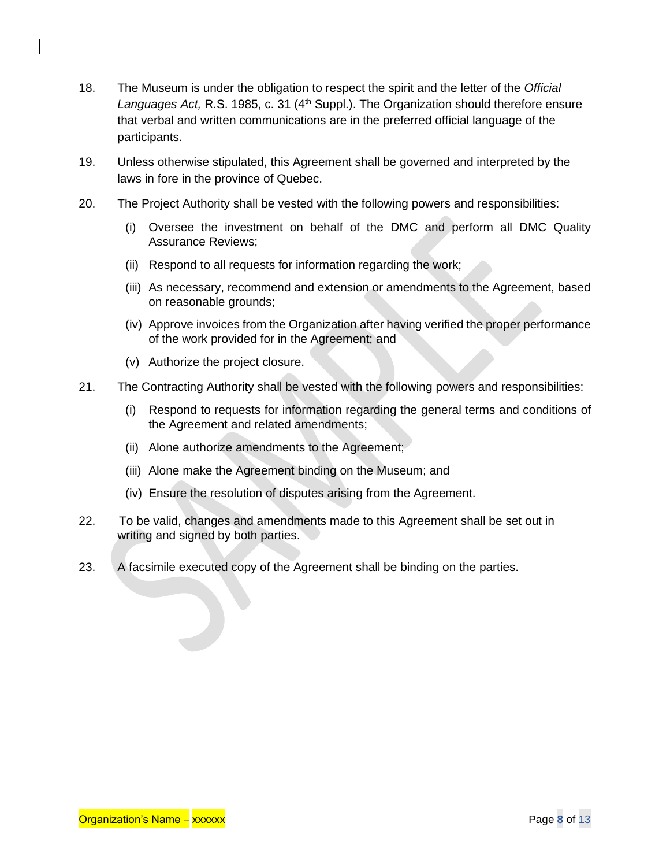- 18. The Museum is under the obligation to respect the spirit and the letter of the *Official*  Languages Act, R.S. 1985, c. 31 (4<sup>th</sup> Suppl.). The Organization should therefore ensure that verbal and written communications are in the preferred official language of the participants.
- 19. Unless otherwise stipulated, this Agreement shall be governed and interpreted by the laws in fore in the province of Quebec.
- 20. The Project Authority shall be vested with the following powers and responsibilities:
	- (i) Oversee the investment on behalf of the DMC and perform all DMC Quality Assurance Reviews;
	- (ii) Respond to all requests for information regarding the work;
	- (iii) As necessary, recommend and extension or amendments to the Agreement, based on reasonable grounds;
	- (iv) Approve invoices from the Organization after having verified the proper performance of the work provided for in the Agreement; and
	- (v) Authorize the project closure.
- 21. The Contracting Authority shall be vested with the following powers and responsibilities:
	- (i) Respond to requests for information regarding the general terms and conditions of the Agreement and related amendments;
	- (ii) Alone authorize amendments to the Agreement;
	- (iii) Alone make the Agreement binding on the Museum; and
	- (iv) Ensure the resolution of disputes arising from the Agreement.
- 22. To be valid, changes and amendments made to this Agreement shall be set out in writing and signed by both parties.
- 23. A facsimile executed copy of the Agreement shall be binding on the parties.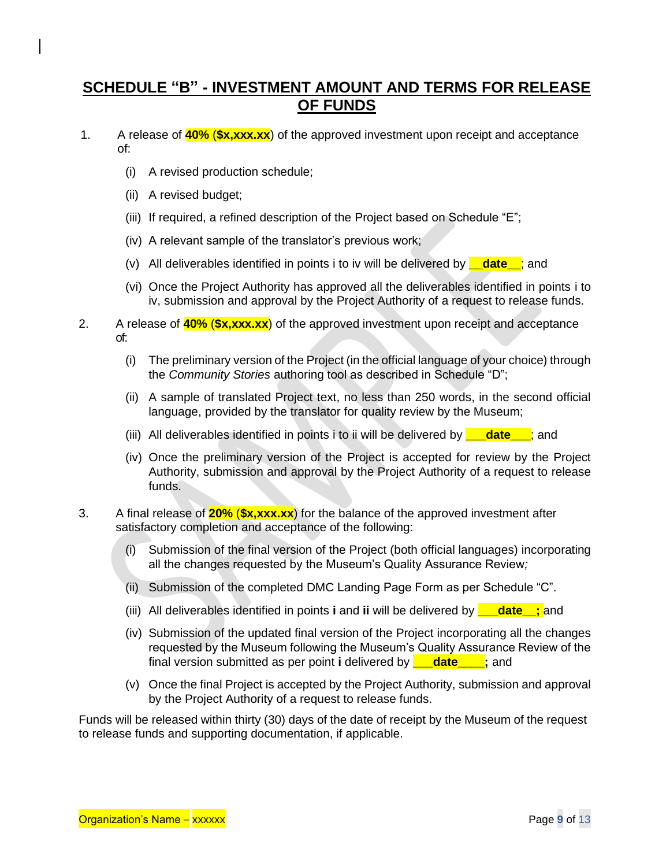# **SCHEDULE "B" - INVESTMENT AMOUNT AND TERMS FOR RELEASE OF FUNDS**

- 1. A release of **40%** (**\$x,xxx.xx**) of the approved investment upon receipt and acceptance of:
	- (i) A revised production schedule;
	- (ii) A revised budget;
	- (iii) If required, a refined description of the Project based on Schedule "E";
	- (iv) A relevant sample of the translator's previous work;
	- (v) All deliverables identified in points i to iv will be delivered by **\_\_date\_\_**; and
	- (vi) Once the Project Authority has approved all the deliverables identified in points i to iv, submission and approval by the Project Authority of a request to release funds.
- 2. A release of **40%** (**\$x,xxx.xx**) of the approved investment upon receipt and acceptance of:
	- (i) The preliminary version of the Project (in the official language of your choice) through the *Community Stories* authoring tool as described in Schedule "D";
	- (ii) A sample of translated Project text, no less than 250 words, in the second official language, provided by the translator for quality review by the Museum;
	- (iii) All deliverables identified in points i to ii will be delivered by **\_\_\_date\_\_\_**; and
	- (iv) Once the preliminary version of the Project is accepted for review by the Project Authority, submission and approval by the Project Authority of a request to release funds.
- 3. A final release of **20%** (**\$x,xxx.xx**) for the balance of the approved investment after satisfactory completion and acceptance of the following:
	- (i) Submission of the final version of the Project (both official languages) incorporating all the changes requested by the Museum's Quality Assurance Review*;*
	- (ii) Submission of the completed DMC Landing Page Form as per Schedule "C".
	- (iii) All deliverables identified in points **i** and **ii** will be delivered by **\_\_\_date\_\_;** and
	- (iv) Submission of the updated final version of the Project incorporating all the changes requested by the Museum following the Museum's Quality Assurance Review of the final version submitted as per point **i** delivered by **\_\_\_date\_\_\_\_;** and
	- (v) Once the final Project is accepted by the Project Authority, submission and approval by the Project Authority of a request to release funds.

Funds will be released within thirty (30) days of the date of receipt by the Museum of the request to release funds and supporting documentation, if applicable.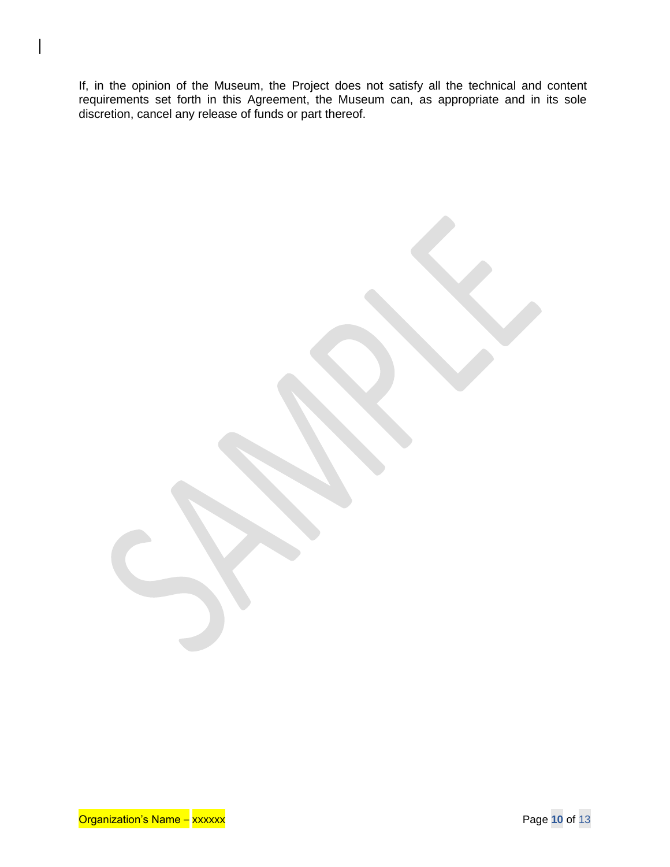If, in the opinion of the Museum, the Project does not satisfy all the technical and content requirements set forth in this Agreement, the Museum can, as appropriate and in its sole discretion, cancel any release of funds or part thereof.

Organization's Name – xxxxxx Page **10** of 13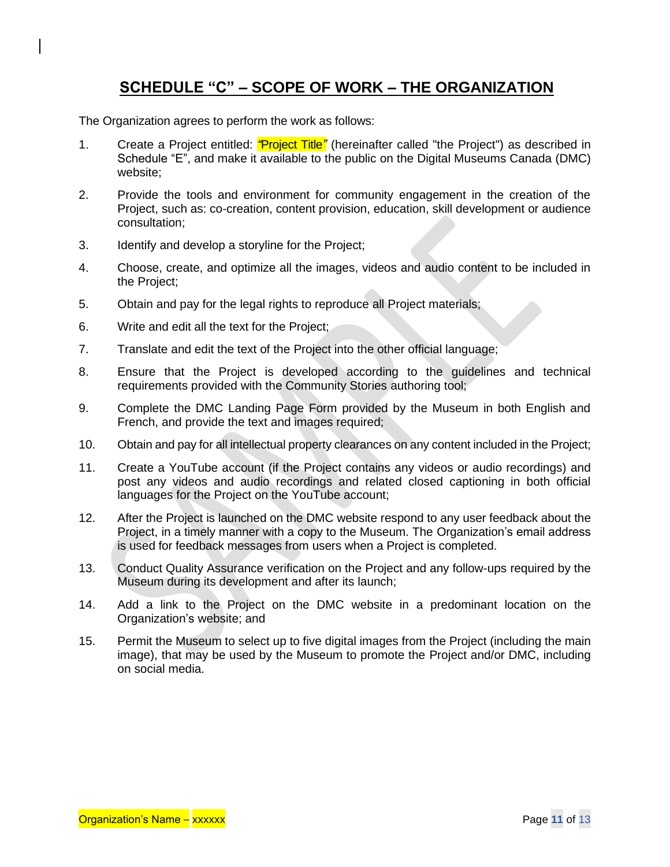# **SCHEDULE "C" – SCOPE OF WORK – THE ORGANIZATION**

The Organization agrees to perform the work as follows:

- 1. Create a Project entitled: *"*Project Title*"* (hereinafter called "the Project") as described in Schedule "E", and make it available to the public on the Digital Museums Canada (DMC) website;
- 2. Provide the tools and environment for community engagement in the creation of the Project, such as: co-creation, content provision, education, skill development or audience consultation;
- 3. Identify and develop a storyline for the Project;
- 4. Choose, create, and optimize all the images, videos and audio content to be included in the Project;
- 5. Obtain and pay for the legal rights to reproduce all Project materials;
- 6. Write and edit all the text for the Project;
- 7. Translate and edit the text of the Project into the other official language;
- 8. Ensure that the Project is developed according to the guidelines and technical requirements provided with the Community Stories authoring tool;
- 9. Complete the DMC Landing Page Form provided by the Museum in both English and French, and provide the text and images required;
- 10. Obtain and pay for all intellectual property clearances on any content included in the Project;
- 11. Create a YouTube account (if the Project contains any videos or audio recordings) and post any videos and audio recordings and related closed captioning in both official languages for the Project on the YouTube account;
- 12. After the Project is launched on the DMC website respond to any user feedback about the Project, in a timely manner with a copy to the Museum. The Organization's email address is used for feedback messages from users when a Project is completed.
- 13. Conduct Quality Assurance verification on the Project and any follow-ups required by the Museum during its development and after its launch;
- 14. Add a link to the Project on the DMC website in a predominant location on the Organization's website; and
- 15. Permit the Museum to select up to five digital images from the Project (including the main image), that may be used by the Museum to promote the Project and/or DMC, including on social media.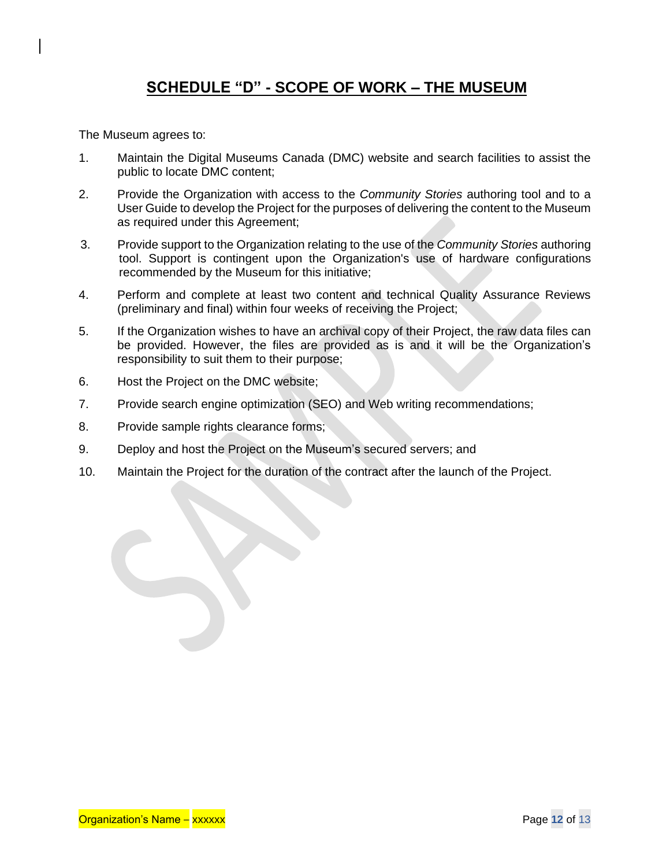# **SCHEDULE "D" - SCOPE OF WORK – THE MUSEUM**

The Museum agrees to:

- 1. Maintain the Digital Museums Canada (DMC) website and search facilities to assist the public to locate DMC content;
- 2. Provide the Organization with access to the *Community Stories* authoring tool and to a User Guide to develop the Project for the purposes of delivering the content to the Museum as required under this Agreement;
- 3. Provide support to the Organization relating to the use of the *Community Stories* authoring tool. Support is contingent upon the Organization's use of hardware configurations recommended by the Museum for this initiative;
- 4. Perform and complete at least two content and technical Quality Assurance Reviews (preliminary and final) within four weeks of receiving the Project;
- 5. If the Organization wishes to have an archival copy of their Project, the raw data files can be provided. However, the files are provided as is and it will be the Organization's responsibility to suit them to their purpose;
- 6. Host the Project on the DMC website;
- 7. Provide search engine optimization (SEO) and Web writing recommendations;
- 8. Provide sample rights clearance forms;
- 9. Deploy and host the Project on the Museum's secured servers; and
- 10. Maintain the Project for the duration of the contract after the launch of the Project.